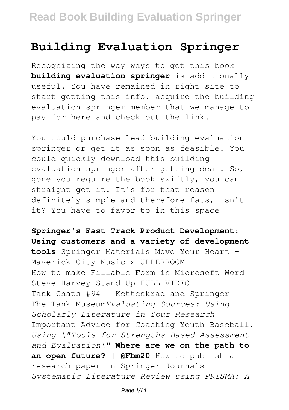## **Building Evaluation Springer**

Recognizing the way ways to get this book **building evaluation springer** is additionally useful. You have remained in right site to start getting this info. acquire the building evaluation springer member that we manage to pay for here and check out the link.

You could purchase lead building evaluation springer or get it as soon as feasible. You could quickly download this building evaluation springer after getting deal. So, gone you require the book swiftly, you can straight get it. It's for that reason definitely simple and therefore fats, isn't it? You have to favor to in this space

**Springer's Fast Track Product Development: Using customers and a variety of development tools** Springer Materials Move Your Heart - Maverick City Music x UPPERROOM

How to make Fillable Form in Microsoft Word Steve Harvey Stand Up FULL VIDEO Tank Chats #94 | Kettenkrad and Springer | The Tank Museum*Evaluating Sources: Using Scholarly Literature in Your Research* Important Advice for Coaching Youth Baseball. *Using \"Tools for Strengths-Based Assessment and Evaluation\"* **Where are we on the path to an open future? | @Fbm20** How to publish a research paper in Springer Journals *Systematic Literature Review using PRISMA: A*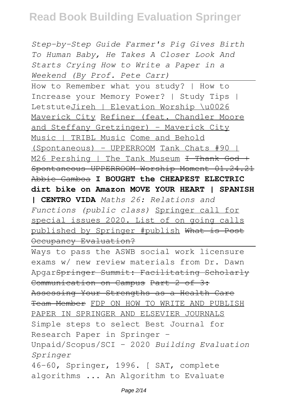*Step-by-Step Guide Farmer's Pig Gives Birth To Human Baby, He Takes A Closer Look And Starts Crying How to Write a Paper in a Weekend (By Prof. Pete Carr)*

How to Remember what you study? | How to Increase your Memory Power? | Study Tips | LetstuteJireh | Elevation Worship \u0026 Maverick City Refiner (feat. Chandler Moore and Steffany Gretzinger) - Maverick City Music | TRIBL Music Come and Behold (Spontaneous) - UPPERROOM Tank Chats #90 | M26 Pershing | The Tank Museum <del>I Thank God +</del> Spontaneous UPPERROOM Worship Moment 01.24.21 Abbie Gamboa **I BOUGHT the CHEAPEST ELECTRIC dirt bike on Amazon MOVE YOUR HEART | SPANISH**

**| CENTRO VIDA** *Maths 26: Relations and Functions (public class)* Springer call for special issues 2020. List of on going calls published by Springer #publish What is Post Occupancy Evaluation?

Ways to pass the ASWB social work licensure exams w/ new review materials from Dr. Dawn ApgarSpringer Summit: Facilitating Scholarly Communication on Campus Part 2 of 3: Assessing Your Strengths as a Health Care Team Member FDP ON HOW TO WRITE AND PUBLISH PAPER IN SPRINGER AND ELSEVIER JOURNALS Simple steps to select Best Journal for Research Paper in Springer - Unpaid/Scopus/SCI - 2020 *Building Evaluation Springer* 46-60, Springer, 1996. [ SAT, complete algorithms ... An Algorithm to Evaluate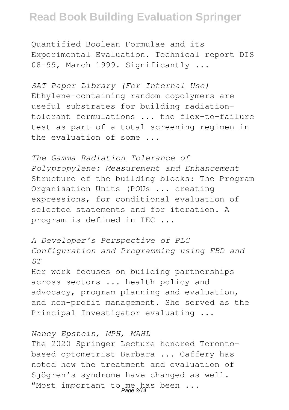Quantified Boolean Formulae and its Experimental Evaluation. Technical report DIS 08-99, March 1999. Significantly ...

*SAT Paper Library (For Internal Use)* Ethylene-containing random copolymers are useful substrates for building radiationtolerant formulations ... the flex-to-failure test as part of a total screening regimen in the evaluation of some ...

*The Gamma Radiation Tolerance of Polypropylene: Measurement and Enhancement* Structure of the building blocks: The Program Organisation Units (POUs ... creating expressions, for conditional evaluation of selected statements and for iteration. A program is defined in IEC ...

*A Developer's Perspective of PLC Configuration and Programming using FBD and ST* Her work focuses on building partnerships across sectors ... health policy and advocacy, program planning and evaluation, and non-profit management. She served as the Principal Investigator evaluating ...

#### *Nancy Epstein, MPH, MAHL*

The 2020 Springer Lecture honored Torontobased optometrist Barbara ... Caffery has noted how the treatment and evaluation of Sjögren's syndrome have changed as well. "Most important to me has been ...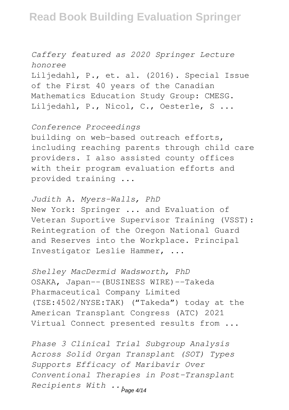*Caffery featured as 2020 Springer Lecture honoree* Liljedahl, P., et. al. (2016). Special Issue of the First 40 years of the Canadian Mathematics Education Study Group: CMESG. Liljedahl, P., Nicol, C., Oesterle, S ...

*Conference Proceedings*

building on web-based outreach efforts, including reaching parents through child care providers. I also assisted county offices with their program evaluation efforts and provided training ...

*Judith A. Myers-Walls, PhD* New York: Springer ... and Evaluation of Veteran Suportive Supervisor Training (VSST): Reintegration of the Oregon National Guard and Reserves into the Workplace. Principal Investigator Leslie Hammer, ...

*Shelley MacDermid Wadsworth, PhD* OSAKA, Japan--(BUSINESS WIRE)--Takeda Pharmaceutical Company Limited (TSE:4502/NYSE:TAK) ("Takeda") today at the American Transplant Congress (ATC) 2021 Virtual Connect presented results from ...

*Phase 3 Clinical Trial Subgroup Analysis Across Solid Organ Transplant (SOT) Types Supports Efficacy of Maribavir Over Conventional Therapies in Post-Transplant Recipients With ...* Page 4/14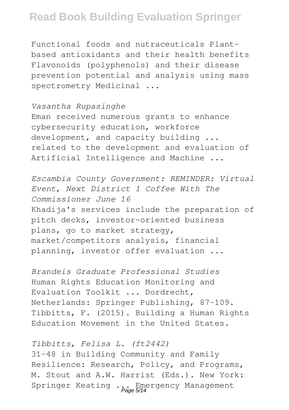Functional foods and nutraceuticals Plantbased antioxidants and their health benefits Flavonoids (polyphenols) and their disease prevention potential and analysis using mass spectrometry Medicinal ...

#### *Vasantha Rupasinghe*

Eman received numerous grants to enhance cybersecurity education, workforce development, and capacity building ... related to the development and evaluation of Artificial Intelligence and Machine ...

*Escambia County Government: REMINDER: Virtual Event, Next District 1 Coffee With The Commissioner June 16* Khadija's services include the preparation of pitch decks, investor-oriented business plans, go to market strategy, market/competitors analysis, financial planning, investor offer evaluation ...

*Brandeis Graduate Professional Studies* Human Rights Education Monitoring and Evaluation Toolkit ... Dordrecht, Netherlands: Springer Publishing, 87-109. Tibbitts, F. (2015). Building a Human Rights Education Movement in the United States.

#### *Tibbitts, Felisa L. (ft2442)*

31-48 in Building Community and Family Resilience: Research, Policy, and Programs, M. Stout and A.W. Harrist (Eds.). New York: Springer Keating ... Emergency Management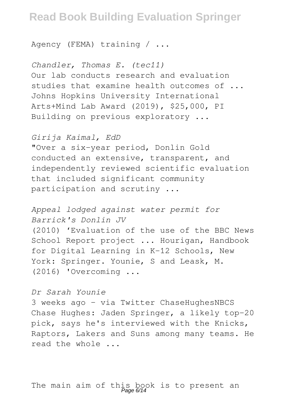Agency (FEMA) training / ...

*Chandler, Thomas E. (tec11)* Our lab conducts research and evaluation studies that examine health outcomes of ... Johns Hopkins University International Arts+Mind Lab Award (2019), \$25,000, PI Building on previous exploratory ...

*Girija Kaimal, EdD*

"Over a six-year period, Donlin Gold conducted an extensive, transparent, and independently reviewed scientific evaluation that included significant community participation and scrutiny ...

*Appeal lodged against water permit for Barrick's Donlin JV* (2010) 'Evaluation of the use of the BBC News School Report project ... Hourigan, Handbook for Digital Learning in K-12 Schools, New York: Springer. Younie, S and Leask, M. (2016) 'Overcoming ...

*Dr Sarah Younie*

3 weeks ago – via Twitter ChaseHughesNBCS Chase Hughes: Jaden Springer, a likely top-20 pick, says he's interviewed with the Knicks, Raptors, Lakers and Suns among many teams. He read the whole ...

The main aim of this book is to present an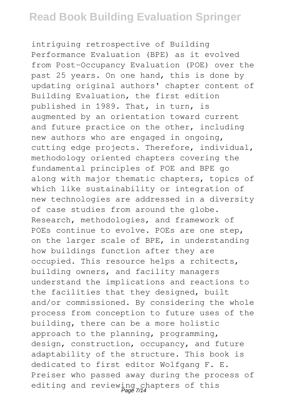intriguing retrospective of Building Performance Evaluation (BPE) as it evolved from Post-Occupancy Evaluation (POE) over the past 25 years. On one hand, this is done by updating original authors' chapter content of Building Evaluation, the first edition published in 1989. That, in turn, is augmented by an orientation toward current and future practice on the other, including new authors who are engaged in ongoing, cutting edge projects. Therefore, individual, methodology oriented chapters covering the fundamental principles of POE and BPE go along with major thematic chapters, topics of which like sustainability or integration of new technologies are addressed in a diversity of case studies from around the globe. Research, methodologies, and framework of POEs continue to evolve. POEs are one step, on the larger scale of BPE, in understanding how buildings function after they are occupied. This resource helps a rchitects, building owners, and facility managers understand the implications and reactions to the facilities that they designed, built and/or commissioned. By considering the whole process from conception to future uses of the building, there can be a more holistic approach to the planning, programming, design, construction, occupancy, and future adaptability of the structure. This book is dedicated to first editor Wolfgang F. E. Preiser who passed away during the process of editing and reviewing chapters of this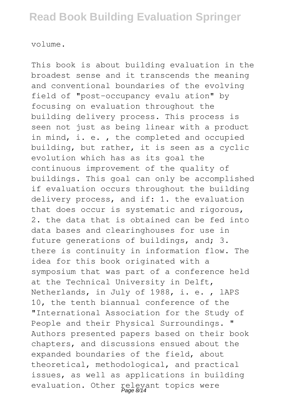volume.

This book is about building evaluation in the broadest sense and it transcends the meaning and conventional boundaries of the evolving field of "post-occupancy evalu ation" by focusing on evaluation throughout the building delivery process. This process is seen not just as being linear with a product in mind, i. e. , the completed and occupied building, but rather, it is seen as a cyclic evolution which has as its goal the continuous improvement of the quality of buildings. This goal can only be accomplished if evaluation occurs throughout the building delivery process, and if: 1. the evaluation that does occur is systematic and rigorous, 2. the data that is obtained can be fed into data bases and clearinghouses for use in future generations of buildings, and; 3. there is continuity in information flow. The idea for this book originated with a symposium that was part of a conference held at the Technical University in Delft, Netherlands, in July of 1988, i. e. , lAPS 10, the tenth biannual conference of the "International Association for the Study of People and their Physical Surroundings. " Authors presented papers based on their book chapters, and discussions ensued about the expanded boundaries of the field, about theoretical, methodological, and practical issues, as well as applications in building evaluation. Other relevant topics were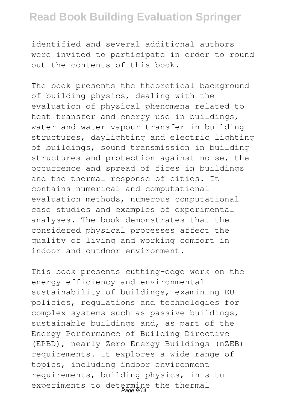identified and several additional authors were invited to participate in order to round out the contents of this book.

The book presents the theoretical background of building physics, dealing with the evaluation of physical phenomena related to heat transfer and energy use in buildings, water and water vapour transfer in building structures, daylighting and electric lighting of buildings, sound transmission in building structures and protection against noise, the occurrence and spread of fires in buildings and the thermal response of cities. It contains numerical and computational evaluation methods, numerous computational case studies and examples of experimental analyses. The book demonstrates that the considered physical processes affect the quality of living and working comfort in indoor and outdoor environment.

This book presents cutting-edge work on the energy efficiency and environmental sustainability of buildings, examining EU policies, regulations and technologies for complex systems such as passive buildings, sustainable buildings and, as part of the Energy Performance of Building Directive (EPBD), nearly Zero Energy Buildings (nZEB) requirements. It explores a wide range of topics, including indoor environment requirements, building physics, in-situ experiments to determine the thermal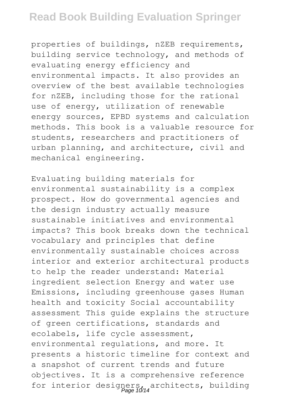properties of buildings, nZEB requirements, building service technology, and methods of evaluating energy efficiency and environmental impacts. It also provides an overview of the best available technologies for nZEB, including those for the rational use of energy, utilization of renewable energy sources, EPBD systems and calculation methods. This book is a valuable resource for students, researchers and practitioners of urban planning, and architecture, civil and mechanical engineering.

Evaluating building materials for environmental sustainability is a complex prospect. How do governmental agencies and the design industry actually measure sustainable initiatives and environmental impacts? This book breaks down the technical vocabulary and principles that define environmentally sustainable choices across interior and exterior architectural products to help the reader understand: Material ingredient selection Energy and water use Emissions, including greenhouse gases Human health and toxicity Social accountability assessment This guide explains the structure of green certifications, standards and ecolabels, life cycle assessment, environmental regulations, and more. It presents a historic timeline for context and a snapshot of current trends and future objectives. It is a comprehensive reference for interior designers, architects, building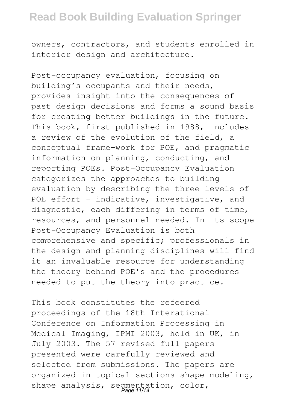owners, contractors, and students enrolled in interior design and architecture.

Post-occupancy evaluation, focusing on building's occupants and their needs, provides insight into the consequences of past design decisions and forms a sound basis for creating better buildings in the future. This book, first published in 1988, includes a review of the evolution of the field, a conceptual frame-work for POE, and pragmatic information on planning, conducting, and reporting POEs. Post-Occupancy Evaluation categorizes the approaches to building evaluation by describing the three levels of POE effort - indicative, investigative, and diagnostic, each differing in terms of time, resources, and personnel needed. In its scope Post-Occupancy Evaluation is both comprehensive and specific; professionals in the design and planning disciplines will find it an invaluable resource for understanding the theory behind POE's and the procedures needed to put the theory into practice.

This book constitutes the refeered proceedings of the 18th Interational Conference on Information Processing in Medical Imaging, IPMI 2003, held in UK, in July 2003. The 57 revised full papers presented were carefully reviewed and selected from submissions. The papers are organized in topical sections shape modeling, shape analysis, segmentation, color,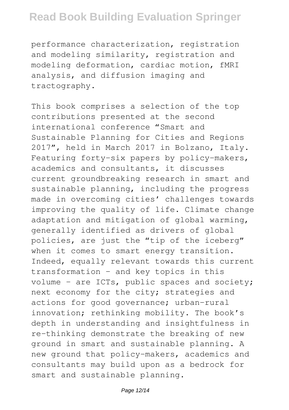performance characterization, registration and modeling similarity, registration and modeling deformation, cardiac motion, fMRI analysis, and diffusion imaging and tractography.

This book comprises a selection of the top contributions presented at the second international conference "Smart and Sustainable Planning for Cities and Regions 2017", held in March 2017 in Bolzano, Italy. Featuring forty-six papers by policy-makers, academics and consultants, it discusses current groundbreaking research in smart and sustainable planning, including the progress made in overcoming cities' challenges towards improving the quality of life. Climate change adaptation and mitigation of global warming, generally identified as drivers of global policies, are just the "tip of the iceberg" when it comes to smart energy transition. Indeed, equally relevant towards this current transformation – and key topics in this volume – are ICTs, public spaces and society; next economy for the city; strategies and actions for good governance; urban-rural innovation; rethinking mobility. The book's depth in understanding and insightfulness in re-thinking demonstrate the breaking of new ground in smart and sustainable planning. A new ground that policy-makers, academics and consultants may build upon as a bedrock for smart and sustainable planning.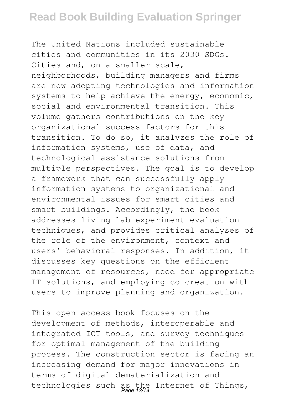The United Nations included sustainable cities and communities in its 2030 SDGs. Cities and, on a smaller scale, neighborhoods, building managers and firms are now adopting technologies and information systems to help achieve the energy, economic, social and environmental transition. This volume gathers contributions on the key organizational success factors for this transition. To do so, it analyzes the role of information systems, use of data, and technological assistance solutions from multiple perspectives. The goal is to develop a framework that can successfully apply information systems to organizational and environmental issues for smart cities and smart buildings. Accordingly, the book addresses living-lab experiment evaluation techniques, and provides critical analyses of the role of the environment, context and users' behavioral responses. In addition, it discusses key questions on the efficient management of resources, need for appropriate IT solutions, and employing co-creation with users to improve planning and organization.

This open access book focuses on the development of methods, interoperable and integrated ICT tools, and survey techniques for optimal management of the building process. The construction sector is facing an increasing demand for major innovations in terms of digital dematerialization and technologies such as the Internet of Things,